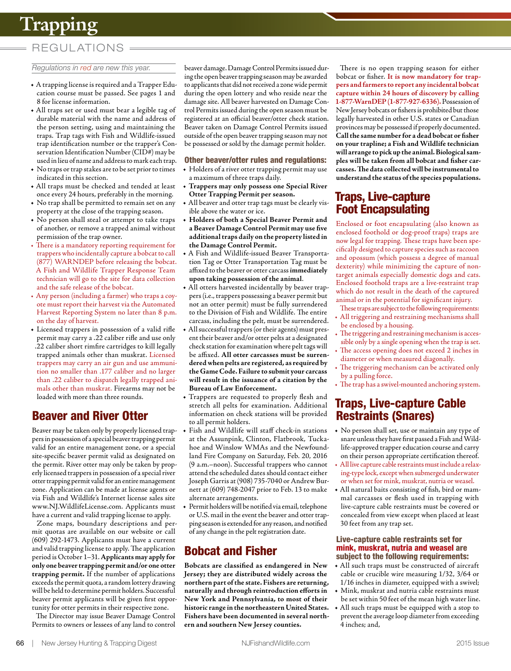# **Trapping**

### REGUL ATIONS

#### *Regulations in red are new this year.*

- **•** A trapping license is required and a Trapper Education course must be passed. See pages 1 and 8 for license information.
- **•** All traps set or used must bear a legible tag of durable material with the name and address of the person setting, using and maintaining the traps. Trap tags with Fish and Wildlife-issued trap identification number or the trapper's Conservation Identification Number (CID#) may be used in lieu of name and address to mark each trap.
- **•** No traps or trap stakes are to be set prior to times indicated in this section.
- **•** All traps must be checked and tended at least once every 24 hours, preferably in the morning.
- **•** No trap shall be permitted to remain set on any property at the close of the trapping season.
- **•** No person shall steal or attempt to take traps of another, or remove a trapped animal without permission of the trap owner.
- There is a mandatory reporting requirement for trappers who incidentally capture a bobcat to call (877) WARNDEP before releasing the bobcat. A Fish and Wildlife Trapper Response Team technician will go to the site for data collection and the safe release of the bobcat.
- Any person (including a farmer) who traps a coyote must report their harvest via the Automated Harvest Reporting System no later than 8 p.m. on the day of harvest.
- **•** Licensed trappers in possession of a valid rifle permit may carry a .22 caliber rifle and use only .22 caliber short rimfire cartridges to kill legally trapped animals other than muskrat. Licensed trappers may carry an air gun and use ammunition no smaller than .177 caliber and no larger than .22 caliber to dispatch legally trapped animals other than muskrat. Firearms may not be loaded with more than three rounds.

# Beaver and River Otter

Beaver may be taken only by properly licensed trappers in possession of a special beaver trapping permit valid for an entire management zone, or a special site-specific beaver permit valid as designated on the permit. River otter may only be taken by properly licensed trappers in possession of a special river otter trapping permit valid for an entire management zone. Application can be made at license agents or via Fish and Wildlife's Internet license sales site [www.NJ.WildlifeLicense.com.](http://www.NJ.WildlifeLicense.com) Applicants must have a current and valid trapping license to apply.

Zone maps, boundary descriptions and permit quotas are available on our website or call (609) 292-1473. Applicants must have a current and valid trapping license to apply. The application period is October 1–31. **Applicants may apply for only one beaver trapping permit and/or one otter trapping permit.** If the number of applications exceeds the permit quota, a random lottery drawing will be held to determine permit holders. Successful beaver permit applicants will be given first opportunity for otter permits in their respective zone.

The Director may issue Beaver Damage Control Permits to owners or lessees of any land to control beaver damage. Damage Control Permits issued during the open beaver trapping season may be awarded to applicants that did not received a zone wide permit during the open lottery and who reside near the damage site. All beaver harvested on Damage Control Permits issued during the open season must be registered at an official beaver/otter check station. Beaver taken on Damage Control Permits issued outside of the open beaver trapping season may not be possessed or sold by the damage permit holder.

#### Other beaver/otter rules and regulations:

- **•** Holders of a river otter trapping permit may use a maximum of three traps daily.
- **• Trappers may only possess one Special River Otter Trapping Permit per season.**
- **•** All beaver and otter trap tags must be clearly visible above the water or ice.
- **• Holders of both a Special Beaver Permit and a Beaver Damage Control Permit may use five additional traps daily on the property listed in the Damage Control Permit.**
- **•** A Fish and Wildlife-issued Beaver Transportation Tag or Otter Transportation Tag must be affixed to the beaver or otter carcass **immediately upon taking possession of the animal**.
- **•** All otters harvested incidentally by beaver trappers (i.e., trappers possessing a beaver permit but not an otter permit) must be fully surrendered to the Division of Fish and Wildlife. The entire carcass, including the pelt, must be surrendered.
- **•** All successful trappers (or their agents) must present their beaver and/or otter pelts at a designated check station for examination where pelt tags will be affixed. **All otter carcasses must be surrendered when pelts are registered, as required by the Game Code. Failure to submit your carcass will result in the issuance of a citation by the Bureau of Law Enforcement.**
- **•** Trappers are requested to properly flesh and stretch all pelts for examination. Additional information on check stations will be provided to all permit holders.
- **•** Fish and Wildlife will staff check-in stations at the Assunpink, Clinton, Flatbrook, Tuckahoe and Winslow WMAs and the Newfoundland Fire Company on Saturday, Feb. 20, 2016 (9 a.m.–noon). Successful trappers who cannot attend the scheduled dates should contact either Joseph Garris at (908) 735-7040 or Andrew Burnett at (609) 748-2047 prior to Feb. 13 to make alternate arrangements.
- **•** Permit holders will be notified via email, telephone or U.S. mail in the event the beaver and otter trapping season is extended for any reason, and notified of any change in the pelt registration date.

### Bobcat and Fisher

**Bobcats are classified as endangered in New Jersey; they are distributed widely across the northern part of the state. Fishers are returning, naturally and through reintroduction efforts in New York and Pennsylvania, to most of their historic range in the northeastern United States. Fishers have been documented in several northern and southern New Jersey counties.** 

There is no open trapping season for either bobcat or fisher. **It is now mandatory for trappers and farmers to report any incidental bobcat capture within 24 hours of discovery by calling 1-877-WarnDEP (1-877-927-6336).** Possession of New Jersey bobcats or fishers is prohibited but those legally harvested in other U.S. states or Canadian provinces may be possessed if properly documented. **Call the same number for a dead bobcat or fisher on your trapline; a Fish and Wildlife technician will arrange to pick up the animal. Biological samples will be taken from all bobcat and fisher carcasses. The data collected will be instrumental to understand the status of the species populations.**

#### Traps, Live-capture Foot Encapsulating

Enclosed or foot encapsulating (also known as enclosed foothold or dog-proof traps) traps are now legal for trapping. These traps have been specifically designed to capture species such as raccoon and opossum (which possess a degree of manual dexterity) while minimizing the capture of nontarget animals especially domestic dogs and cats. Enclosed foothold traps are a live-restraint trap which do not result in the death of the captured animal or in the potential for significant injury.

- These traps are subject to the following requirements: • All triggering and restraining mechanisms shall be enclosed by a housing.
- The triggering and restraining mechanism is accessible only by a single opening when the trap is set.
- The access opening does not exceed 2 inches in diameter or when measured diagonally.
- The triggering mechanism can be activated only by a pulling force.
- The trap has a swivel-mounted anchoring system.

### Traps, Live-capture Cable Restraints (Snares)

- **•** No person shall set, use or maintain any type of snare unless they have first passed a Fish and Wildlife-approved trapper education course and carry on their person appropriate certification thereof.
- All live capture cable restraints must include a relaxing-type lock, except when submerged underwater or when set for mink, muskrat, nutria or weasel.
- **•** All natural baits consisting of fish, bird or mammal carcasses or flesh used in trapping with live-capture cable restraints must be covered or concealed from view except when placed at least 30 feet from any trap set.

#### Live-capture cable restraints set for mink, muskrat, nutria and weasel are subject to the following requirements:

- **•** All such traps must be constructed of aircraft cable or crucible wire measuring 1/32, 3/64 or 1/16 inches in diameter, equipped with a swivel;
- **•** Mink, muskrat and nutria cable restraints must be set within 50 feet of the mean high water line.
- **•** All such traps must be equipped with a stop to prevent the average loop diameter from exceeding 4 inches; and,